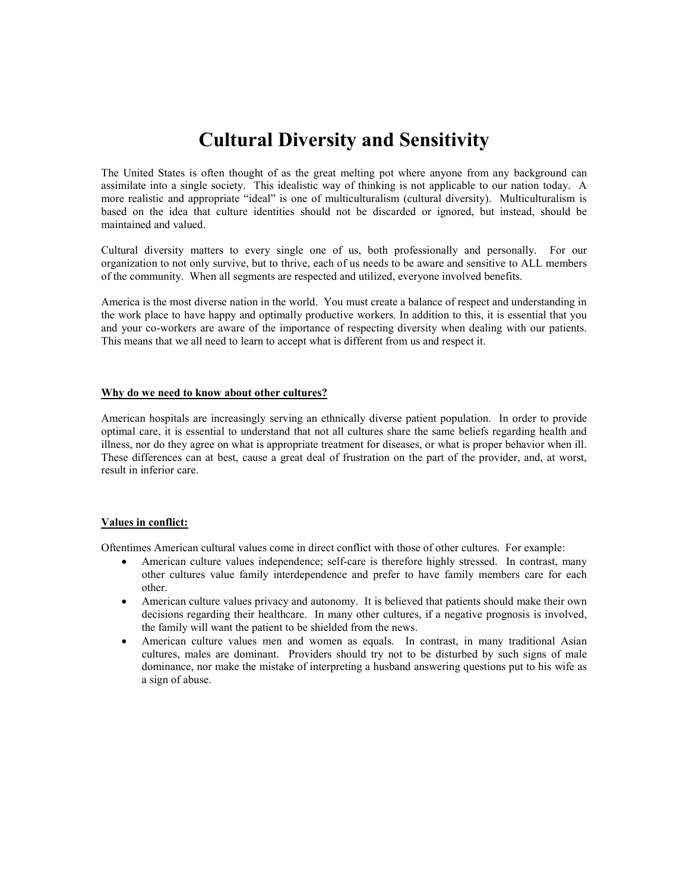## Cultural Diversity and Sensitivity

The United States is often thought of as the great melting pot where anyone from any background can assimilate into a single society. This idealistic way of thinking is not applicable to our nation today. A more realistic and appropriate "ideal" is one of multiculturalism (cultural diversity). Multiculturalism is based on the idea that culture identities should not be discarded or ignored, but instead, should be maintained and valued.

Cultural diversity matters to every single one of us, both professionally and personally. For our organization to not only survive, but to thrive, each of us needs to be aware and sensitive to ALL members of the community. When all segments are respected and utilized, everyone involved benefits.

America is the most diverse nation in the world. You must create a balance of respect and understanding in the work place to have happy and optimally productive workers. In addition to this, it is essential that you and your co-workers are aware of the importance of respecting diversity when dealing with our patients. This means that we all need to learn to accept what is different from us and respect it.

#### Why do we need to know about other cultures?

American hospitals are increasingly serving an ethnically diverse patient population. In order to provide optimal care, it is essential to understand that not all cultures share the same beliefs regarding health and illness, nor do they agree on what is appropriate treatment for diseases, or what is proper behavior when ill. These differences can at best, cause a great deal of frustration on the part of the provider, and, at worst, result in inferior care.

#### Values in conflict:

Oftentimes American cultural values come in direct conflict with those of other cultures. For example:

- American culture values independence; self-care is therefore highly stressed. In contrast, many other cultures value family interdependence and prefer to have family members care for each other.
- American culture values privacy and autonomy. It is believed that patients should make their own decisions regarding their healthcare. In many other cultures, if a negative prognosis is involved, the family will want the patient to be shielded from the news.
- American culture values men and women as equals. In contrast, in many traditional Asian cultures, males are dominant. Providers should try not to be disturbed by such signs of male dominance, nor make the mistake of interpreting a husband answering questions put to his wife as a sign of abuse.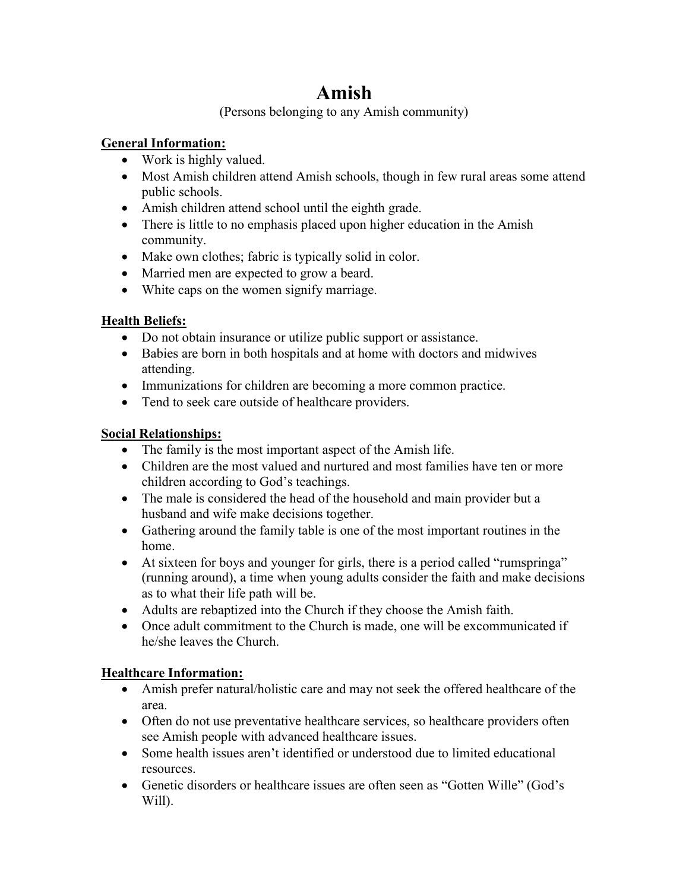# Amish

(Persons belonging to any Amish community)

### General Information:

- Work is highly valued.
- Most Amish children attend Amish schools, though in few rural areas some attend public schools.
- Amish children attend school until the eighth grade.
- There is little to no emphasis placed upon higher education in the Amish community.
- Make own clothes; fabric is typically solid in color.
- Married men are expected to grow a beard.
- White caps on the women signify marriage.

### Health Beliefs:

- Do not obtain insurance or utilize public support or assistance.
- Babies are born in both hospitals and at home with doctors and midwives attending.
- Immunizations for children are becoming a more common practice.
- Tend to seek care outside of healthcare providers.

### Social Relationships:

- The family is the most important aspect of the Amish life.
- Children are the most valued and nurtured and most families have ten or more children according to God's teachings.
- The male is considered the head of the household and main provider but a husband and wife make decisions together.
- Gathering around the family table is one of the most important routines in the home.
- At sixteen for boys and younger for girls, there is a period called "rumspringa" (running around), a time when young adults consider the faith and make decisions as to what their life path will be.
- Adults are rebaptized into the Church if they choose the Amish faith.
- Once adult commitment to the Church is made, one will be excommunicated if he/she leaves the Church.

### Healthcare Information:

- Amish prefer natural/holistic care and may not seek the offered healthcare of the area.
- Often do not use preventative healthcare services, so healthcare providers often see Amish people with advanced healthcare issues.
- Some health issues aren't identified or understood due to limited educational resources.
- Genetic disorders or healthcare issues are often seen as "Gotten Wille" (God's Will).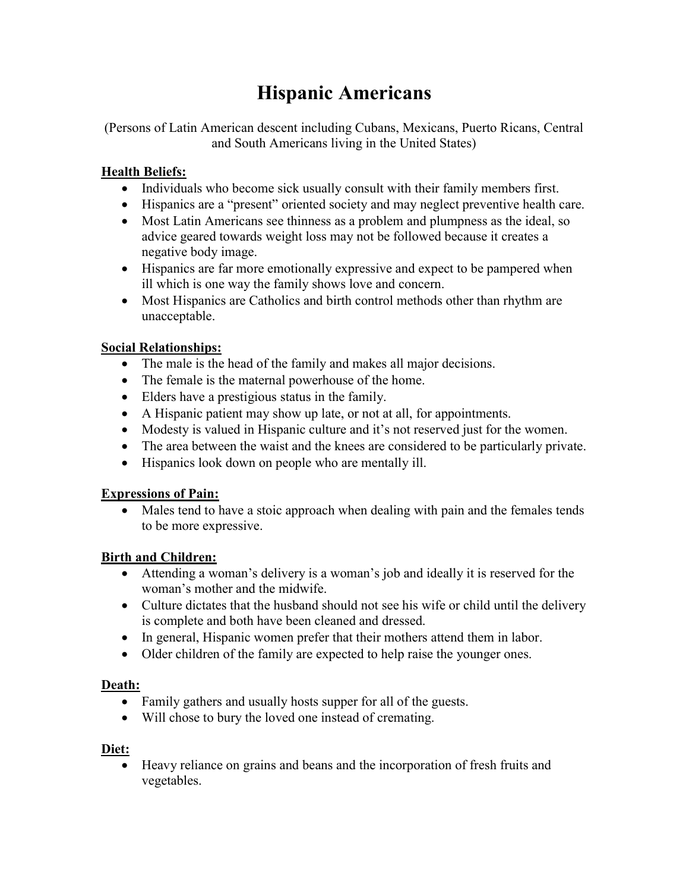# Hispanic Americans

(Persons of Latin American descent including Cubans, Mexicans, Puerto Ricans, Central and South Americans living in the United States)

### Health Beliefs:

- Individuals who become sick usually consult with their family members first.
- Hispanics are a "present" oriented society and may neglect preventive health care.
- Most Latin Americans see thinness as a problem and plumpness as the ideal, so advice geared towards weight loss may not be followed because it creates a negative body image.
- Hispanics are far more emotionally expressive and expect to be pampered when ill which is one way the family shows love and concern.
- Most Hispanics are Catholics and birth control methods other than rhythm are unacceptable.

### Social Relationships:

- The male is the head of the family and makes all major decisions.
- The female is the maternal powerhouse of the home.
- Elders have a prestigious status in the family.
- A Hispanic patient may show up late, or not at all, for appointments.
- Modesty is valued in Hispanic culture and it's not reserved just for the women.
- The area between the waist and the knees are considered to be particularly private.
- Hispanics look down on people who are mentally ill.

### Expressions of Pain:

• Males tend to have a stoic approach when dealing with pain and the females tends to be more expressive.

### Birth and Children:

- Attending a woman's delivery is a woman's job and ideally it is reserved for the woman's mother and the midwife.
- Culture dictates that the husband should not see his wife or child until the delivery is complete and both have been cleaned and dressed.
- In general, Hispanic women prefer that their mothers attend them in labor.
- Older children of the family are expected to help raise the younger ones.

### Death:

- Family gathers and usually hosts supper for all of the guests.
- Will chose to bury the loved one instead of cremating.

### Diet:

 Heavy reliance on grains and beans and the incorporation of fresh fruits and vegetables.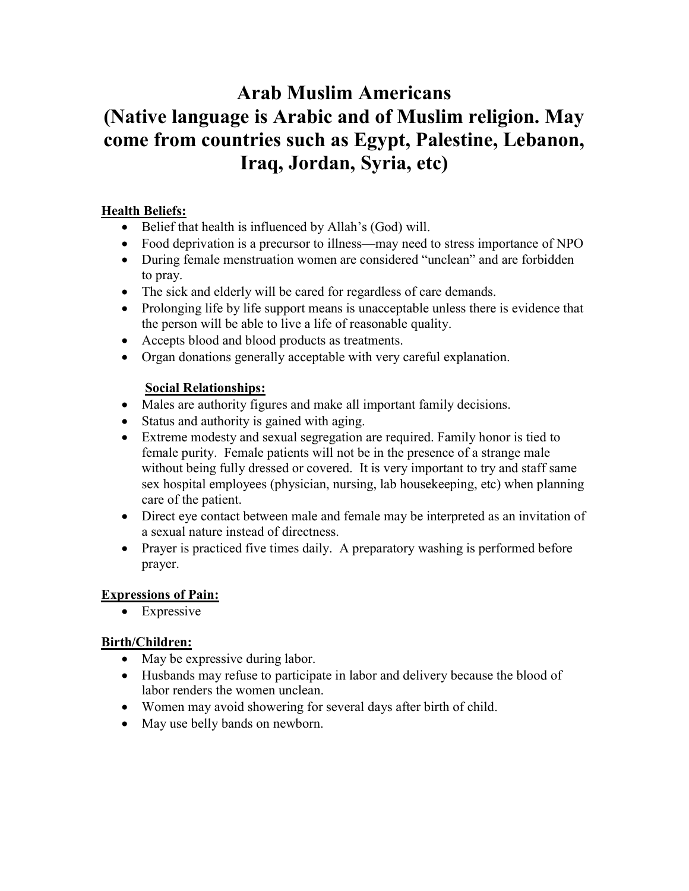# Arab Muslim Americans (Native language is Arabic and of Muslim religion. May come from countries such as Egypt, Palestine, Lebanon, Iraq, Jordan, Syria, etc)

### Health Beliefs:

- Belief that health is influenced by Allah's (God) will.
- Food deprivation is a precursor to illness—may need to stress importance of NPO
- During female menstruation women are considered "unclean" and are forbidden to pray.
- The sick and elderly will be cared for regardless of care demands.
- Prolonging life by life support means is unacceptable unless there is evidence that the person will be able to live a life of reasonable quality.
- Accepts blood and blood products as treatments.
- Organ donations generally acceptable with very careful explanation.

### Social Relationships:

- Males are authority figures and make all important family decisions.
- Status and authority is gained with aging.
- Extreme modesty and sexual segregation are required. Family honor is tied to female purity. Female patients will not be in the presence of a strange male without being fully dressed or covered. It is very important to try and staff same sex hospital employees (physician, nursing, lab housekeeping, etc) when planning care of the patient.
- Direct eye contact between male and female may be interpreted as an invitation of a sexual nature instead of directness.
- Prayer is practiced five times daily. A preparatory washing is performed before prayer.

### Expressions of Pain:

• Expressive

### Birth/Children:

- May be expressive during labor.
- Husbands may refuse to participate in labor and delivery because the blood of labor renders the women unclean.
- Women may avoid showering for several days after birth of child.
- May use belly bands on newborn.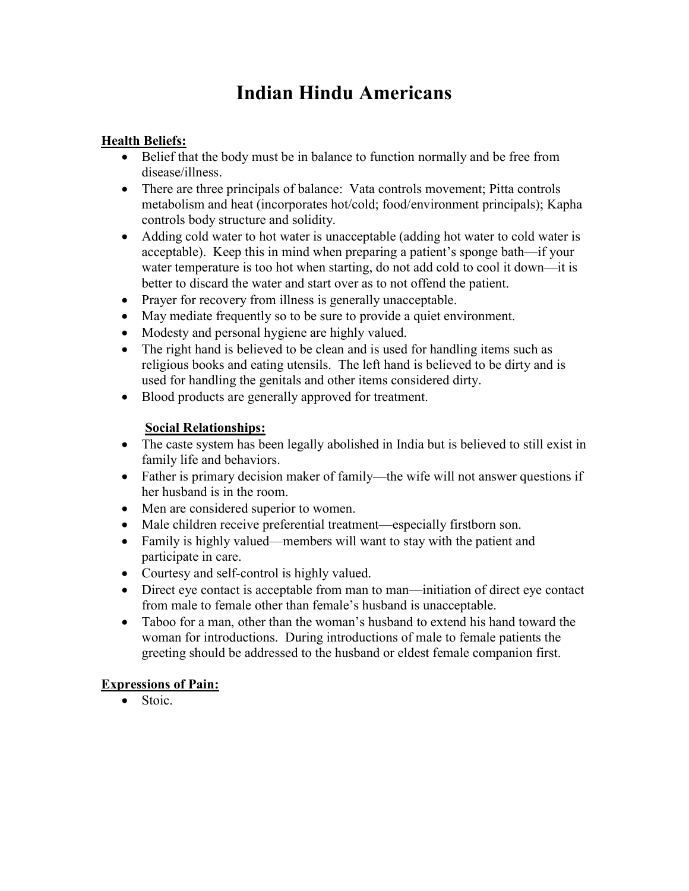# Indian Hindu Americans

### Health Beliefs:

- Belief that the body must be in balance to function normally and be free from disease/illness.
- There are three principals of balance: Vata controls movement; Pitta controls metabolism and heat (incorporates hot/cold; food/environment principals); Kapha controls body structure and solidity.
- Adding cold water to hot water is unacceptable (adding hot water to cold water is acceptable). Keep this in mind when preparing a patient's sponge bath—if your water temperature is too hot when starting, do not add cold to cool it down—it is better to discard the water and start over as to not offend the patient.
- Prayer for recovery from illness is generally unacceptable.
- May mediate frequently so to be sure to provide a quiet environment.
- Modesty and personal hygiene are highly valued.
- The right hand is believed to be clean and is used for handling items such as religious books and eating utensils. The left hand is believed to be dirty and is used for handling the genitals and other items considered dirty.
- Blood products are generally approved for treatment.

### Social Relationships:

- The caste system has been legally abolished in India but is believed to still exist in family life and behaviors.
- Father is primary decision maker of family—the wife will not answer questions if her husband is in the room.
- Men are considered superior to women.
- Male children receive preferential treatment—especially firstborn son.
- Family is highly valued—members will want to stay with the patient and participate in care.
- Courtesy and self-control is highly valued.
- Direct eye contact is acceptable from man to man—initiation of direct eye contact from male to female other than female's husband is unacceptable.
- Taboo for a man, other than the woman's husband to extend his hand toward the woman for introductions. During introductions of male to female patients the greeting should be addressed to the husband or eldest female companion first.

### Expressions of Pain:

• Stoic.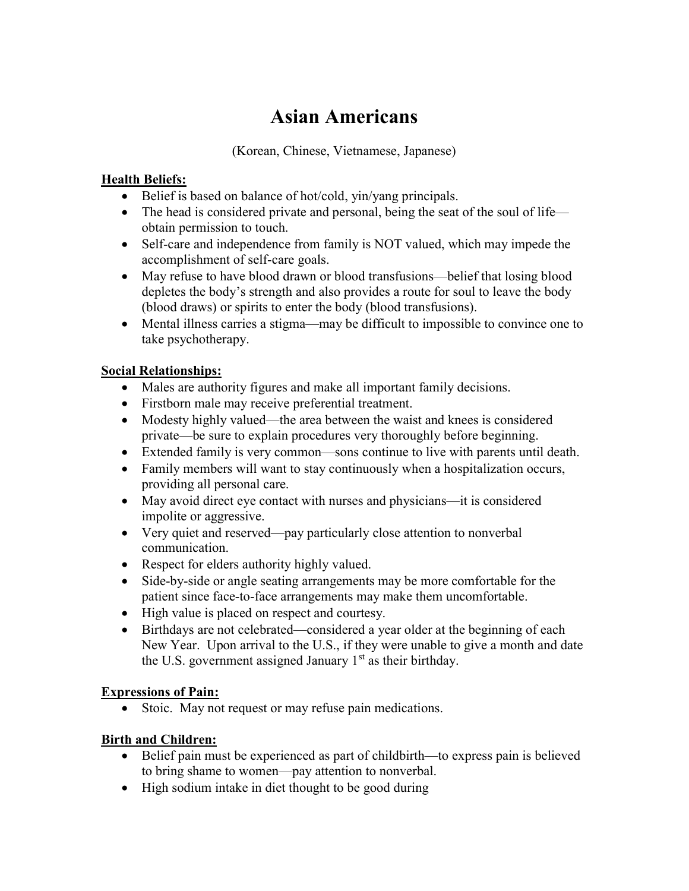## Asian Americans

(Korean, Chinese, Vietnamese, Japanese)

### **Health Beliefs:**

- Belief is based on balance of hot/cold, yin/yang principals.
- The head is considered private and personal, being the seat of the soul of life obtain permission to touch.
- Self-care and independence from family is NOT valued, which may impede the accomplishment of self-care goals.
- May refuse to have blood drawn or blood transfusions—belief that losing blood depletes the body's strength and also provides a route for soul to leave the body (blood draws) or spirits to enter the body (blood transfusions).
- Mental illness carries a stigma—may be difficult to impossible to convince one to take psychotherapy.

### Social Relationships:

- Males are authority figures and make all important family decisions.
- Firstborn male may receive preferential treatment.
- Modesty highly valued—the area between the waist and knees is considered private—be sure to explain procedures very thoroughly before beginning.
- Extended family is very common—sons continue to live with parents until death.
- Family members will want to stay continuously when a hospitalization occurs, providing all personal care.
- May avoid direct eye contact with nurses and physicians—it is considered impolite or aggressive.
- Very quiet and reserved—pay particularly close attention to nonverbal communication.
- Respect for elders authority highly valued.
- Side-by-side or angle seating arrangements may be more comfortable for the patient since face-to-face arrangements may make them uncomfortable.
- High value is placed on respect and courtesy.
- Birthdays are not celebrated—considered a year older at the beginning of each New Year. Upon arrival to the U.S., if they were unable to give a month and date the U.S. government assigned January  $1<sup>st</sup>$  as their birthday.

### Expressions of Pain:

• Stoic. May not request or may refuse pain medications.

### Birth and Children:

- Belief pain must be experienced as part of childbirth—to express pain is believed to bring shame to women—pay attention to nonverbal.
- High sodium intake in diet thought to be good during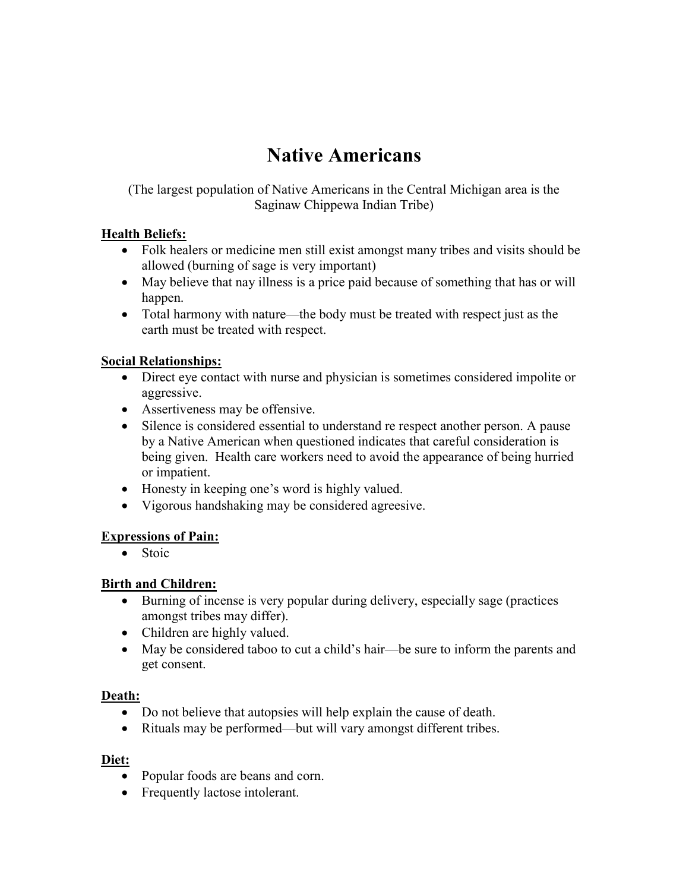## Native Americans

(The largest population of Native Americans in the Central Michigan area is the Saginaw Chippewa Indian Tribe)

### Health Beliefs:

- Folk healers or medicine men still exist amongst many tribes and visits should be allowed (burning of sage is very important)
- May believe that nay illness is a price paid because of something that has or will happen.
- Total harmony with nature—the body must be treated with respect just as the earth must be treated with respect.

### Social Relationships:

- Direct eye contact with nurse and physician is sometimes considered impolite or aggressive.
- Assertiveness may be offensive.
- Silence is considered essential to understand re respect another person. A pause by a Native American when questioned indicates that careful consideration is being given. Health care workers need to avoid the appearance of being hurried or impatient.
- Honesty in keeping one's word is highly valued.
- Vigorous handshaking may be considered agreesive.

### Expressions of Pain:

• Stoic

### Birth and Children:

- Burning of incense is very popular during delivery, especially sage (practices amongst tribes may differ).
- Children are highly valued.
- May be considered taboo to cut a child's hair—be sure to inform the parents and get consent.

### Death:

- Do not believe that autopsies will help explain the cause of death.
- Rituals may be performed—but will vary amongst different tribes.

### Diet:

- Popular foods are beans and corn.
- Frequently lactose intolerant.